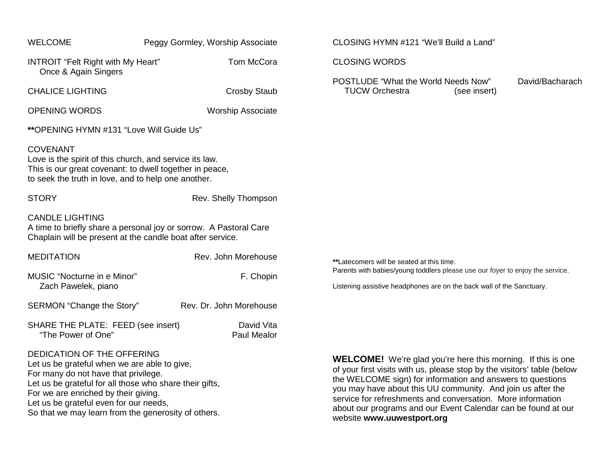| <b>WELCOME</b>                                                                                                                                                                                                        | Peggy Gormley, Worship Associate |                           | CLOSING HYMN #121 "We'll Build a Land"                                                                                                                                                                                                                                                                                                    |
|-----------------------------------------------------------------------------------------------------------------------------------------------------------------------------------------------------------------------|----------------------------------|---------------------------|-------------------------------------------------------------------------------------------------------------------------------------------------------------------------------------------------------------------------------------------------------------------------------------------------------------------------------------------|
| INTROIT "Felt Right with My Heart"<br>Once & Again Singers                                                                                                                                                            |                                  | Tom McCora                | <b>CLOSING WORDS</b>                                                                                                                                                                                                                                                                                                                      |
| <b>CHALICE LIGHTING</b>                                                                                                                                                                                               |                                  | <b>Crosby Staub</b>       | <b>POSTLUDE "What the World Needs Now"</b><br>David/Bacharach<br><b>TUCW Orchestra</b><br>(see insert)                                                                                                                                                                                                                                    |
| <b>OPENING WORDS</b>                                                                                                                                                                                                  |                                  | <b>Worship Associate</b>  |                                                                                                                                                                                                                                                                                                                                           |
| **OPENING HYMN #131 "Love Will Guide Us"                                                                                                                                                                              |                                  |                           |                                                                                                                                                                                                                                                                                                                                           |
| <b>COVENANT</b><br>Love is the spirit of this church, and service its law.<br>This is our great covenant: to dwell together in peace,<br>to seek the truth in love, and to help one another.                          |                                  |                           |                                                                                                                                                                                                                                                                                                                                           |
| <b>STORY</b>                                                                                                                                                                                                          |                                  | Rev. Shelly Thompson      |                                                                                                                                                                                                                                                                                                                                           |
| <b>CANDLE LIGHTING</b><br>A time to briefly share a personal joy or sorrow. A Pastoral Care<br>Chaplain will be present at the candle boat after service.                                                             |                                  |                           |                                                                                                                                                                                                                                                                                                                                           |
| <b>MEDITATION</b>                                                                                                                                                                                                     |                                  | Rev. John Morehouse       | **Latecomers will be seated at this time.<br>Parents with babies/young toddlers please use our foyer to enjoy the service.<br>Listening assistive headphones are on the back wall of the Sanctuary.                                                                                                                                       |
| MUSIC "Nocturne in e Minor"<br>Zach Pawelek, piano                                                                                                                                                                    |                                  | F. Chopin                 |                                                                                                                                                                                                                                                                                                                                           |
| SERMON "Change the Story"                                                                                                                                                                                             |                                  | Rev. Dr. John Morehouse   |                                                                                                                                                                                                                                                                                                                                           |
| SHARE THE PLATE: FEED (see insert)<br>"The Power of One"                                                                                                                                                              |                                  | David Vita<br>Paul Mealor |                                                                                                                                                                                                                                                                                                                                           |
| DEDICATION OF THE OFFERING<br>Let us be grateful when we are able to give,<br>For many do not have that privilege.<br>Let us be grateful for all those who share their gifts,<br>For we are enriched by their giving. |                                  |                           | <b>WELCOME!</b> We're glad you're here this morning. If this is one<br>of your first visits with us, please stop by the visitors' table (below<br>the WELCOME sign) for information and answers to questions<br>you may have about this UU community. And join us after the<br>service for refreshments and conversation More information |

Let us be grateful even for our needs,

So that we may learn from the generosity of others.

service for refreshments and conversation. More information about our programs and our Event Calendar can be found at our website **[www.uuwestport.org](http://www.uuwestport.org/)**